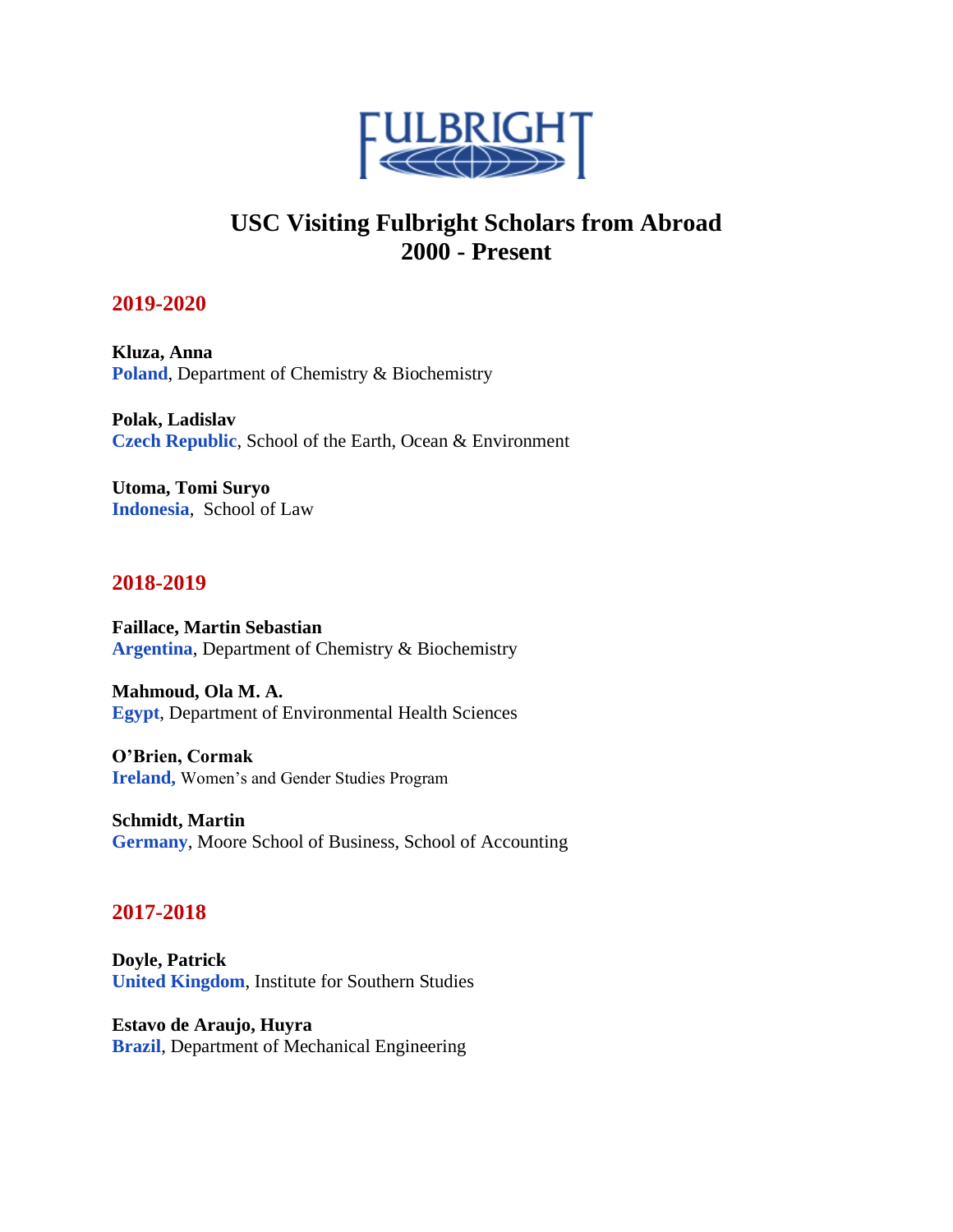

# **USC Visiting Fulbright Scholars from Abroad 2000 - Present**

# **2019-2020**

**Kluza, Anna Poland**, Department of Chemistry & Biochemistry

**Polak, Ladislav Czech Republic**, School of the Earth, Ocean & Environment

**Utoma, Tomi Suryo Indonesia**, School of Law

# **2018-2019**

**Faillace, Martin Sebastian Argentina**, Department of Chemistry & Biochemistry

**Mahmoud, Ola M. A. Egypt**, Department of Environmental Health Sciences

 **Ireland,** Women's and Gender Studies Program **O'Brien, Cormak**

**Schmidt, Martin Germany**, Moore School of Business, School of Accounting

# **2017-2018**

**Doyle, Patrick United Kingdom**, Institute for Southern Studies

**Estavo de Araujo, Huyra Brazil**, Department of Mechanical Engineering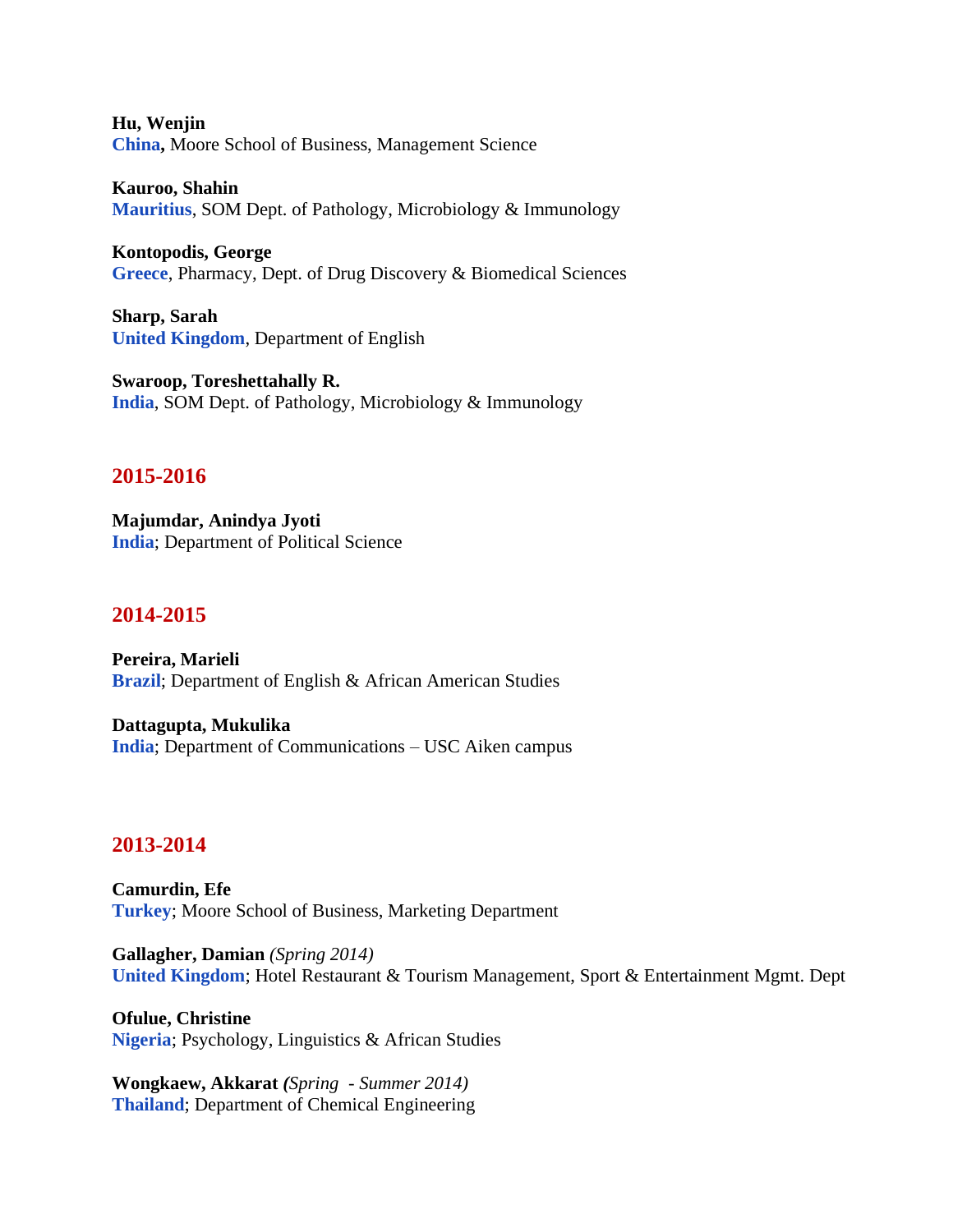**Hu, Wenjin China,** Moore School of Business, Management Science

**Kauroo, Shahin Mauritius**, SOM Dept. of Pathology, Microbiology & Immunology

**Kontopodis, George Greece**, Pharmacy, Dept. of Drug Discovery & Biomedical Sciences

**Sharp, Sarah United Kingdom**, Department of English

**Swaroop, Toreshettahally R. India**, SOM Dept. of Pathology, Microbiology & Immunology

## **2015-2016**

**Majumdar, Anindya Jyoti India**; Department of Political Science

## **2014-2015**

**Pereira, Marieli Brazil**; Department of English & African American Studies

**Dattagupta, Mukulika India**; Department of Communications – USC Aiken campus

#### **2013-2014**

**Camurdin, Efe Turkey**; Moore School of Business, Marketing Department

**Gallagher, Damian** *(Spring 2014)*  **United Kingdom**; Hotel Restaurant & Tourism Management, Sport & Entertainment Mgmt. Dept

**Ofulue, Christine Nigeria**; Psychology, Linguistics & African Studies

**Wongkaew, Akkarat** *(Spring - Summer 2014)*  **Thailand**; Department of Chemical Engineering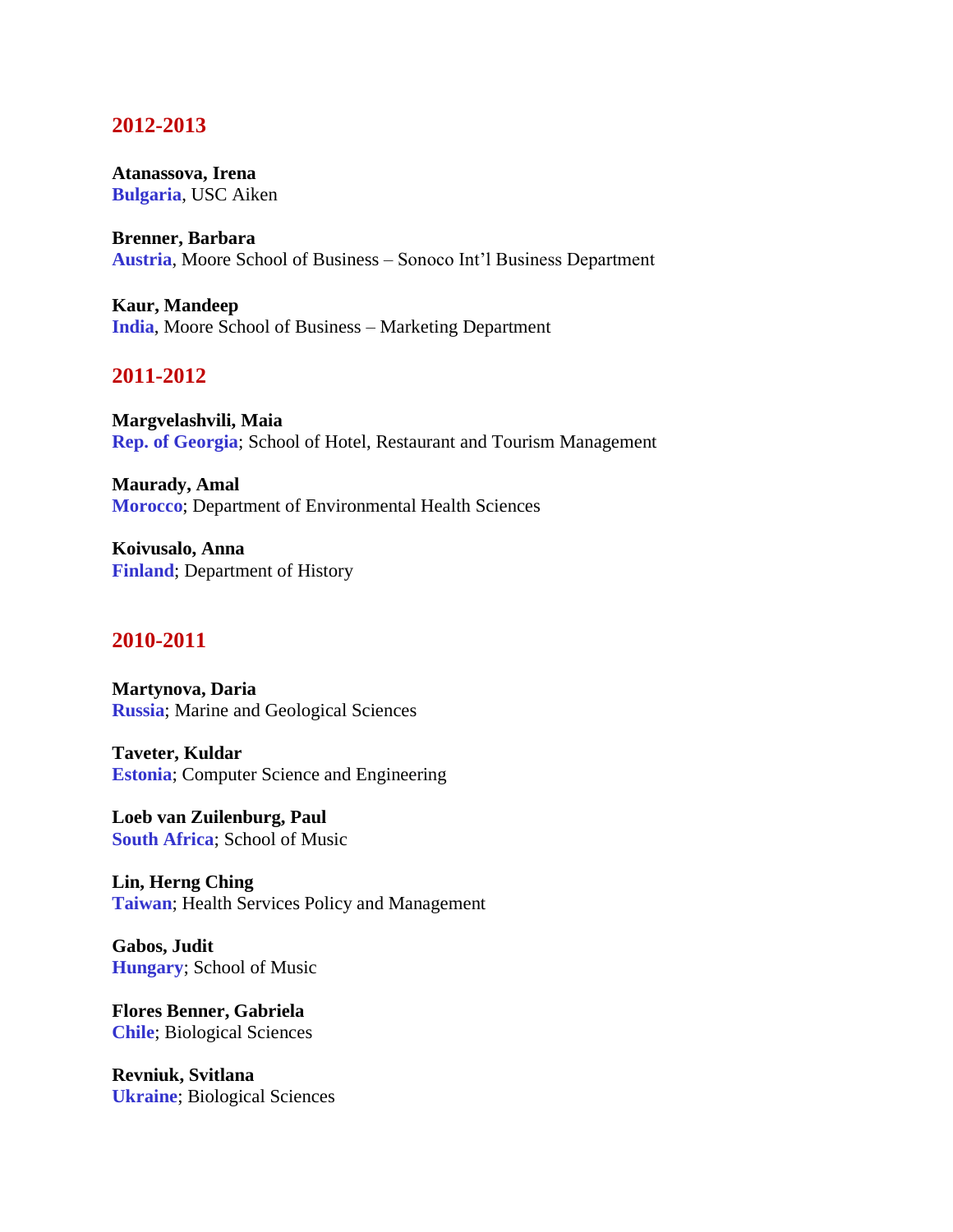#### **2012-2013**

**Atanassova, Irena Bulgaria**, USC Aiken

**Brenner, Barbara Austria**, Moore School of Business – Sonoco Int'l Business Department

**Kaur, Mandeep India**, Moore School of Business – Marketing Department

## **2011-2012**

**Margvelashvili, Maia Rep. of Georgia**; School of Hotel, Restaurant and Tourism Management

**Maurady, Amal Morocco**; Department of Environmental Health Sciences

**Koivusalo, Anna Finland**; Department of History

#### **2010-2011**

**Martynova, Daria Russia**; Marine and Geological Sciences

**Taveter, Kuldar Estonia**; Computer Science and Engineering

**Loeb van Zuilenburg, Paul South Africa**; School of Music

**Lin, Herng Ching Taiwan**; Health Services Policy and Management

**Gabos, Judit Hungary**; School of Music

**Flores Benner, Gabriela Chile**; Biological Sciences

**Revniuk, Svitlana Ukraine**; Biological Sciences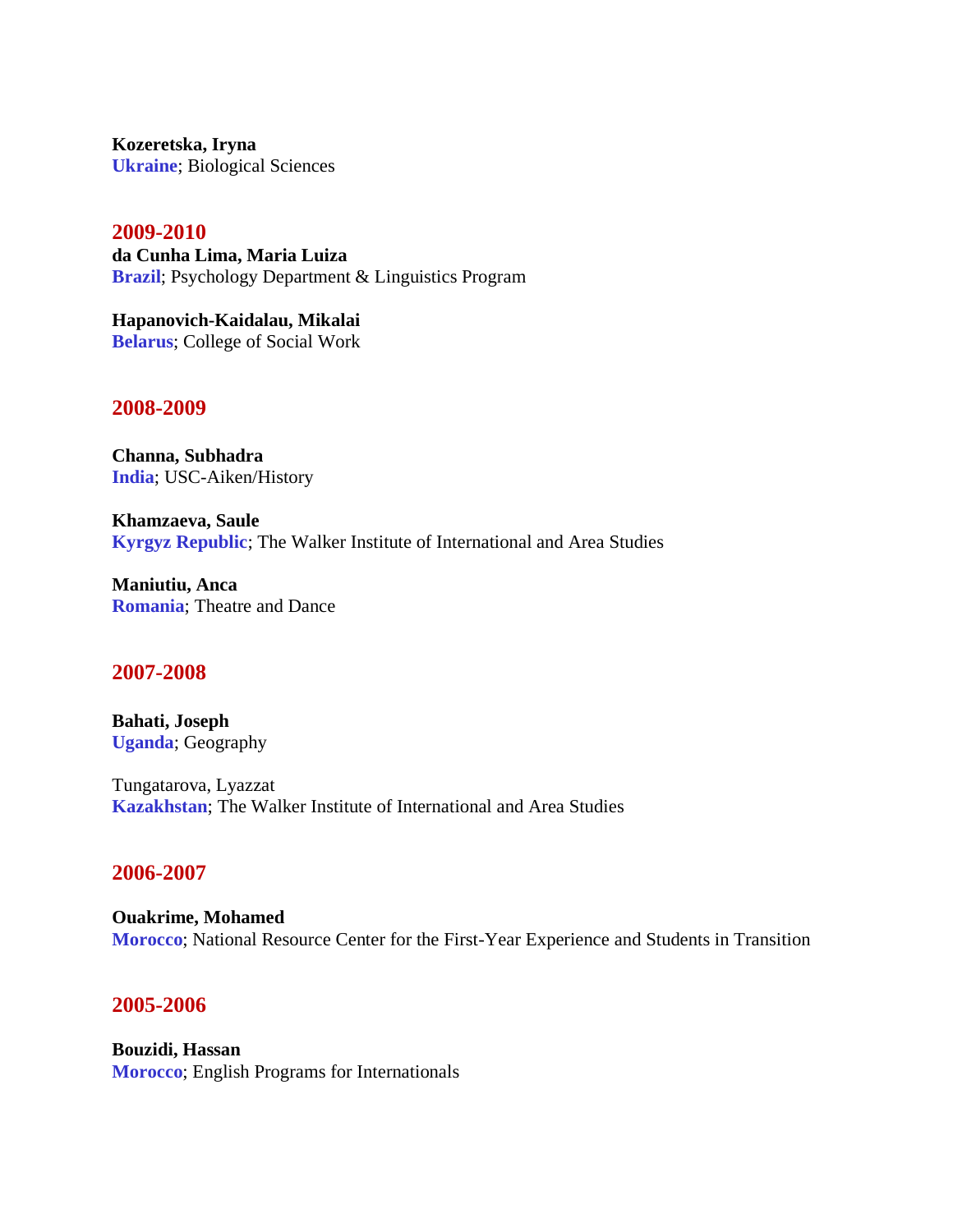**Kozeretska, Iryna Ukraine**; Biological Sciences

#### **2009-2010**

**da Cunha Lima, Maria Luiza Brazil**; Psychology Department & Linguistics Program

**Hapanovich-Kaidalau, Mikalai Belarus**; College of Social Work

#### **2008-2009**

**Channa, Subhadra India**; USC-Aiken/History

**Khamzaeva, Saule Kyrgyz Republic**; The Walker Institute of International and Area Studies

**Maniutiu, Anca Romania**; Theatre and Dance

#### **2007-2008**

**Bahati, Joseph Uganda**; Geography

Tungatarova, Lyazzat **Kazakhstan**; The Walker Institute of International and Area Studies

#### **2006-2007**

**Ouakrime, Mohamed Morocco**; National Resource Center for the First-Year Experience and Students in Transition

#### **2005-2006**

**Bouzidi, Hassan Morocco**; English Programs for Internationals